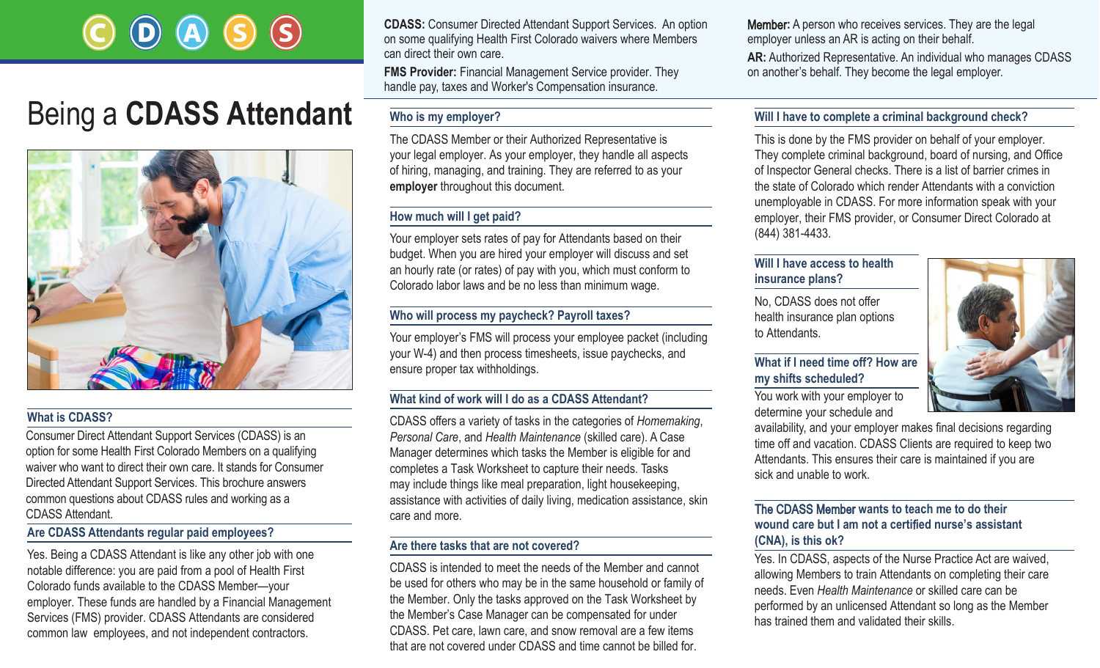# Being a **CDASS Attendant**



#### **What is CDASS?**

Consumer Direct Attendant Support Services (CDASS) is an option for some Health First Colorado Members on a qualifying waiver who want to direct their own care. It stands for Consumer Directed Attendant Support Services. This brochure answers common questions about CDASS rules and working as a CDASS Attendant.

#### **Are CDASS Attendants regular paid employees?**

Yes. Being a CDASS Attendant is like any other job with one notable difference: you are paid from a pool of Health First Colorado funds available to the CDASS Member—your employer. These funds are handled by a Financial Management Services (FMS) provider. CDASS Attendants are considered common law employees, and not independent contractors.

**CDASS:** Consumer Directed Attendant Support Services. An option on some qualifying Health First Colorado waivers where Members can direct their own care.

**FMS Provider:** Financial Management Service provider. They handle pay, taxes and Worker's Compensation insurance.

#### **Who is my employer?**

The CDASS Member or their Authorized Representative is your legal employer. As your employer, they handle all aspects of hiring, managing, and training. They are referred to as your **employer** throughout this document.

#### **How much will I get paid?**

Your employer sets rates of pay for Attendants based on their budget. When you are hired your employer will discuss and set an hourly rate (or rates) of pay with you, which must conform to Colorado labor laws and be no less than minimum wage.

#### **Who will process my paycheck? Payroll taxes?**

Your employer's FMS will process your employee packet (including your W-4) and then process timesheets, issue paychecks, and ensure proper tax withholdings.

#### **What kind of work will I do as a CDASS Attendant?**

CDASS offers a variety of tasks in the categories of *Homemaking*, *Personal Care*, and *Health Maintenance* (skilled care). A Case Manager determines which tasks the Member is eligible for and completes a Task Worksheet to capture their needs. Tasks may include things like meal preparation, light housekeeping, assistance with activities of daily living, medication assistance, skin care and more.

#### **Are there tasks that are not covered?**

CDASS is intended to meet the needs of the Member and cannot be used for others who may be in the same household or family of the Member. Only the tasks approved on the Task Worksheet by the Member's Case Manager can be compensated for under CDASS. Pet care, lawn care, and snow removal are a few items that are not covered under CDASS and time cannot be billed for.

Member**:** A person who receives services. They are the legal employer unless an AR is acting on their behalf.

**AR:** Authorized Representative. An individual who manages CDASS on another's behalf. They become the legal employer.

#### **Will I have to complete a criminal background check?**

This is done by the FMS provider on behalf of your employer. They complete criminal background, board of nursing, and Office of Inspector General checks. There is a list of barrier crimes in the state of Colorado which render Attendants with a conviction unemployable in CDASS. For more information speak with your employer, their FMS provider, or Consumer Direct Colorado at (844) 381-4433.

#### **Will I have access to health insurance plans?**

No, CDASS does not offer health insurance plan options to Attendants.



#### **What if I need time off? How are my shifts scheduled?**

You work with your employer to determine your schedule and

availability, and your employer makes final decisions regarding time off and vacation. CDASS Clients are required to keep two Attendants. This ensures their care is maintained if you are sick and unable to work.

#### The CDASS Member **wants to teach me to do their wound care but I am not a certi**f**ied nurse's assistant (CNA), is this ok?**

Yes. In CDASS, aspects of the Nurse Practice Act are waived, allowing Members to train Attendants on completing their care needs. Even *Health Maintenance* or skilled care can be performed by an unlicensed Attendant so long as the Member has trained them and validated their skills.